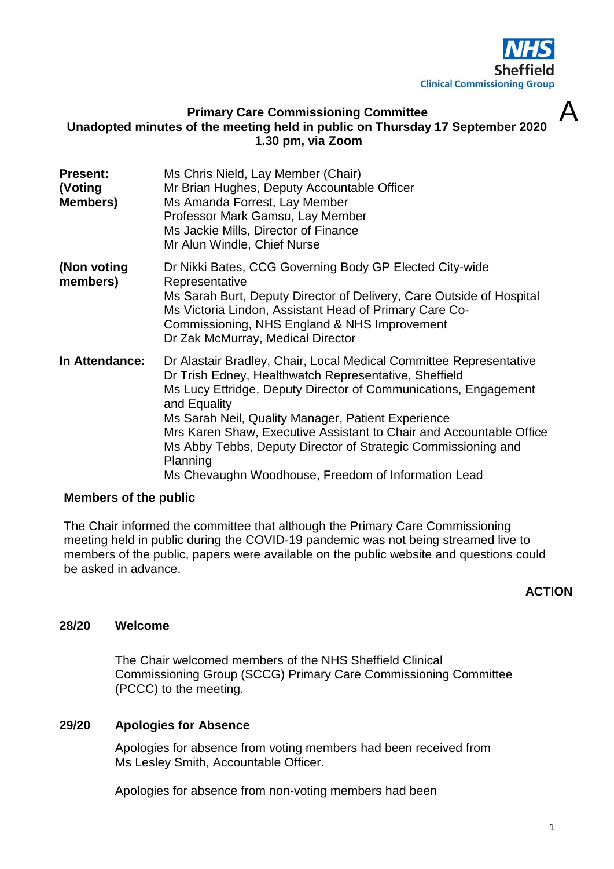

 $\Delta$ 

# **Primary Care Commissioning Committee Unadopted minutes of the meeting held in public on Thursday 17 September 2020 1.30 pm, via Zoom**

| <b>Present:</b><br>(Voting<br>Members) | Ms Chris Nield, Lay Member (Chair)<br>Mr Brian Hughes, Deputy Accountable Officer<br>Ms Amanda Forrest, Lay Member<br>Professor Mark Gamsu, Lay Member<br>Ms Jackie Mills, Director of Finance<br>Mr Alun Windle, Chief Nurse                                                                                                                                                                                                                                                   |
|----------------------------------------|---------------------------------------------------------------------------------------------------------------------------------------------------------------------------------------------------------------------------------------------------------------------------------------------------------------------------------------------------------------------------------------------------------------------------------------------------------------------------------|
| (Non voting<br>members)                | Dr Nikki Bates, CCG Governing Body GP Elected City-wide<br>Representative<br>Ms Sarah Burt, Deputy Director of Delivery, Care Outside of Hospital<br>Ms Victoria Lindon, Assistant Head of Primary Care Co-<br>Commissioning, NHS England & NHS Improvement<br>Dr Zak McMurray, Medical Director                                                                                                                                                                                |
| In Attendance:                         | Dr Alastair Bradley, Chair, Local Medical Committee Representative<br>Dr Trish Edney, Healthwatch Representative, Sheffield<br>Ms Lucy Ettridge, Deputy Director of Communications, Engagement<br>and Equality<br>Ms Sarah Neil, Quality Manager, Patient Experience<br>Mrs Karen Shaw, Executive Assistant to Chair and Accountable Office<br>Ms Abby Tebbs, Deputy Director of Strategic Commissioning and<br>Planning<br>Ms Chevaughn Woodhouse, Freedom of Information Lead |

# **Members of the public**

The Chair informed the committee that although the Primary Care Commissioning meeting held in public during the COVID-19 pandemic was not being streamed live to members of the public, papers were available on the public website and questions could be asked in advance.

# **ACTION**

#### **28/20 Welcome**

The Chair welcomed members of the NHS Sheffield Clinical Commissioning Group (SCCG) Primary Care Commissioning Committee (PCCC) to the meeting.

### **29/20 Apologies for Absence**

Apologies for absence from voting members had been received from Ms Lesley Smith, Accountable Officer.

Apologies for absence from non-voting members had been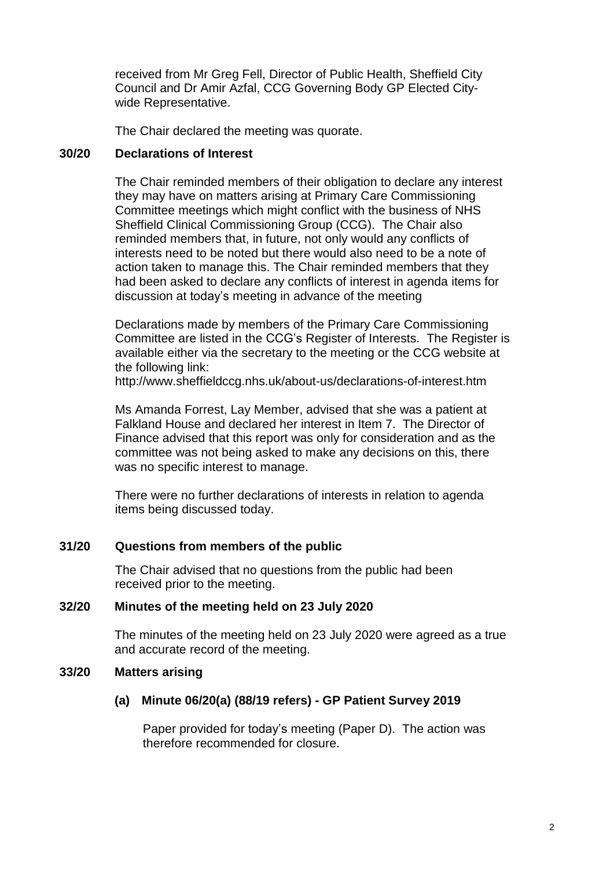received from Mr Greg Fell, Director of Public Health, Sheffield City Council and Dr Amir Azfal, CCG Governing Body GP Elected Citywide Representative.

The Chair declared the meeting was quorate.

# **30/20 Declarations of Interest**

The Chair reminded members of their obligation to declare any interest they may have on matters arising at Primary Care Commissioning Committee meetings which might conflict with the business of NHS Sheffield Clinical Commissioning Group (CCG). The Chair also reminded members that, in future, not only would any conflicts of interests need to be noted but there would also need to be a note of action taken to manage this. The Chair reminded members that they had been asked to declare any conflicts of interest in agenda items for discussion at today's meeting in advance of the meeting

Declarations made by members of the Primary Care Commissioning Committee are listed in the CCG's Register of Interests. The Register is available either via the secretary to the meeting or the CCG website at the following link:

http://www.sheffieldccg.nhs.uk/about-us/declarations-of-interest.htm

Ms Amanda Forrest, Lay Member, advised that she was a patient at Falkland House and declared her interest in Item 7. The Director of Finance advised that this report was only for consideration and as the committee was not being asked to make any decisions on this, there was no specific interest to manage.

There were no further declarations of interests in relation to agenda items being discussed today.

# **31/20 Questions from members of the public**

The Chair advised that no questions from the public had been received prior to the meeting.

# **32/20 Minutes of the meeting held on 23 July 2020**

The minutes of the meeting held on 23 July 2020 were agreed as a true and accurate record of the meeting.

# **33/20 Matters arising**

# **(a) Minute 06/20(a) (88/19 refers) - GP Patient Survey 2019**

Paper provided for today's meeting (Paper D). The action was therefore recommended for closure.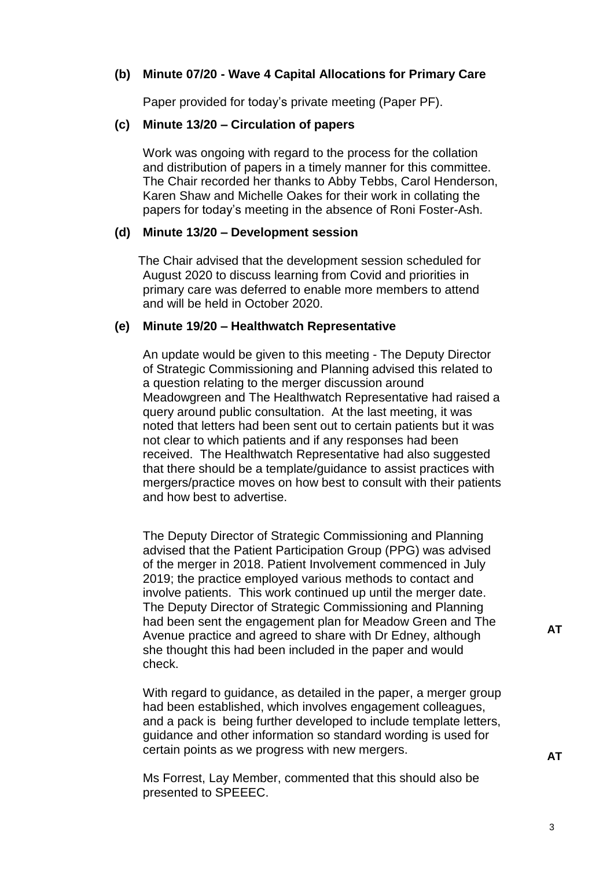### **(b) Minute 07/20 - Wave 4 Capital Allocations for Primary Care**

Paper provided for today's private meeting (Paper PF).

#### **(c) Minute 13/20 – Circulation of papers**

Work was ongoing with regard to the process for the collation and distribution of papers in a timely manner for this committee. The Chair recorded her thanks to Abby Tebbs, Carol Henderson, Karen Shaw and Michelle Oakes for their work in collating the papers for today's meeting in the absence of Roni Foster-Ash.

### **(d) Minute 13/20 – Development session**

The Chair advised that the development session scheduled for August 2020 to discuss learning from Covid and priorities in primary care was deferred to enable more members to attend and will be held in October 2020.

#### **(e) Minute 19/20 – Healthwatch Representative**

An update would be given to this meeting - The Deputy Director of Strategic Commissioning and Planning advised this related to a question relating to the merger discussion around Meadowgreen and The Healthwatch Representative had raised a query around public consultation. At the last meeting, it was noted that letters had been sent out to certain patients but it was not clear to which patients and if any responses had been received. The Healthwatch Representative had also suggested that there should be a template/guidance to assist practices with mergers/practice moves on how best to consult with their patients and how best to advertise.

The Deputy Director of Strategic Commissioning and Planning advised that the Patient Participation Group (PPG) was advised of the merger in 2018. Patient Involvement commenced in July 2019; the practice employed various methods to contact and involve patients. This work continued up until the merger date. The Deputy Director of Strategic Commissioning and Planning had been sent the engagement plan for Meadow Green and The Avenue practice and agreed to share with Dr Edney, although she thought this had been included in the paper and would check.

With regard to guidance, as detailed in the paper, a merger group had been established, which involves engagement colleagues, and a pack is being further developed to include template letters, guidance and other information so standard wording is used for certain points as we progress with new mergers.

Ms Forrest, Lay Member, commented that this should also be presented to SPEEEC.

**AT**

**AT**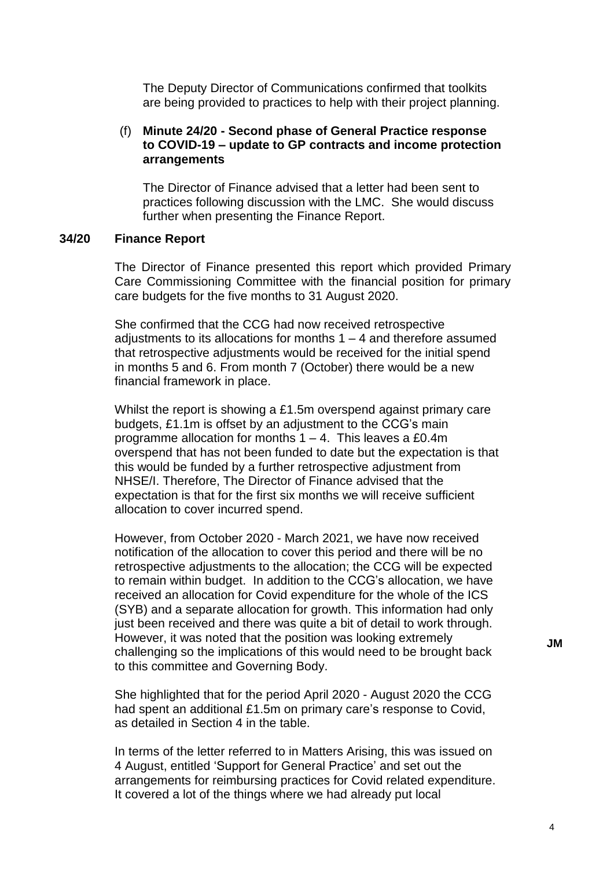The Deputy Director of Communications confirmed that toolkits are being provided to practices to help with their project planning.

### (f) **Minute 24/20 - Second phase of General Practice response to COVID-19 – update to GP contracts and income protection arrangements**

The Director of Finance advised that a letter had been sent to practices following discussion with the LMC. She would discuss further when presenting the Finance Report.

#### **34/20 Finance Report**

The Director of Finance presented this report which provided Primary Care Commissioning Committee with the financial position for primary care budgets for the five months to 31 August 2020.

She confirmed that the CCG had now received retrospective adjustments to its allocations for months 1 – 4 and therefore assumed that retrospective adjustments would be received for the initial spend in months 5 and 6. From month 7 (October) there would be a new financial framework in place.

Whilst the report is showing a £1.5m overspend against primary care budgets, £1.1m is offset by an adjustment to the CCG's main programme allocation for months  $1 - 4$ . This leaves a £0.4m overspend that has not been funded to date but the expectation is that this would be funded by a further retrospective adjustment from NHSE/I. Therefore, The Director of Finance advised that the expectation is that for the first six months we will receive sufficient allocation to cover incurred spend.

However, from October 2020 - March 2021, we have now received notification of the allocation to cover this period and there will be no retrospective adjustments to the allocation; the CCG will be expected to remain within budget. In addition to the CCG's allocation, we have received an allocation for Covid expenditure for the whole of the ICS (SYB) and a separate allocation for growth. This information had only just been received and there was quite a bit of detail to work through. However, it was noted that the position was looking extremely challenging so the implications of this would need to be brought back to this committee and Governing Body.

She highlighted that for the period April 2020 - August 2020 the CCG had spent an additional £1.5m on primary care's response to Covid, as detailed in Section 4 in the table.

In terms of the letter referred to in Matters Arising, this was issued on 4 August, entitled 'Support for General Practice' and set out the arrangements for reimbursing practices for Covid related expenditure. It covered a lot of the things where we had already put local

**JM**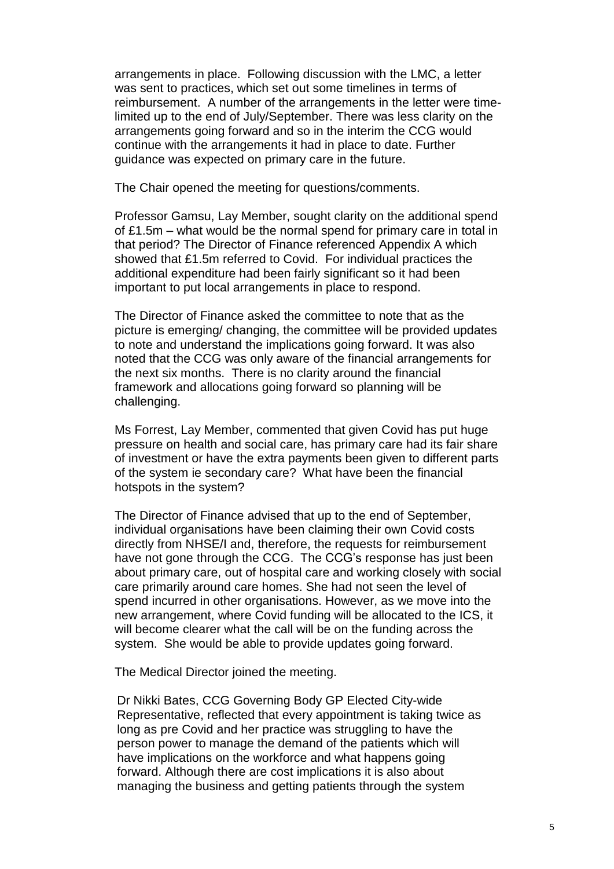arrangements in place. Following discussion with the LMC, a letter was sent to practices, which set out some timelines in terms of reimbursement. A number of the arrangements in the letter were timelimited up to the end of July/September. There was less clarity on the arrangements going forward and so in the interim the CCG would continue with the arrangements it had in place to date. Further guidance was expected on primary care in the future.

The Chair opened the meeting for questions/comments.

Professor Gamsu, Lay Member, sought clarity on the additional spend of £1.5m – what would be the normal spend for primary care in total in that period? The Director of Finance referenced Appendix A which showed that £1.5m referred to Covid. For individual practices the additional expenditure had been fairly significant so it had been important to put local arrangements in place to respond.

The Director of Finance asked the committee to note that as the picture is emerging/ changing, the committee will be provided updates to note and understand the implications going forward. It was also noted that the CCG was only aware of the financial arrangements for the next six months. There is no clarity around the financial framework and allocations going forward so planning will be challenging.

Ms Forrest, Lay Member, commented that given Covid has put huge pressure on health and social care, has primary care had its fair share of investment or have the extra payments been given to different parts of the system ie secondary care? What have been the financial hotspots in the system?

The Director of Finance advised that up to the end of September, individual organisations have been claiming their own Covid costs directly from NHSE/I and, therefore, the requests for reimbursement have not gone through the CCG. The CCG's response has just been about primary care, out of hospital care and working closely with social care primarily around care homes. She had not seen the level of spend incurred in other organisations. However, as we move into the new arrangement, where Covid funding will be allocated to the ICS, it will become clearer what the call will be on the funding across the system. She would be able to provide updates going forward.

The Medical Director joined the meeting.

Dr Nikki Bates, CCG Governing Body GP Elected City-wide Representative, reflected that every appointment is taking twice as long as pre Covid and her practice was struggling to have the person power to manage the demand of the patients which will have implications on the workforce and what happens going forward. Although there are cost implications it is also about managing the business and getting patients through the system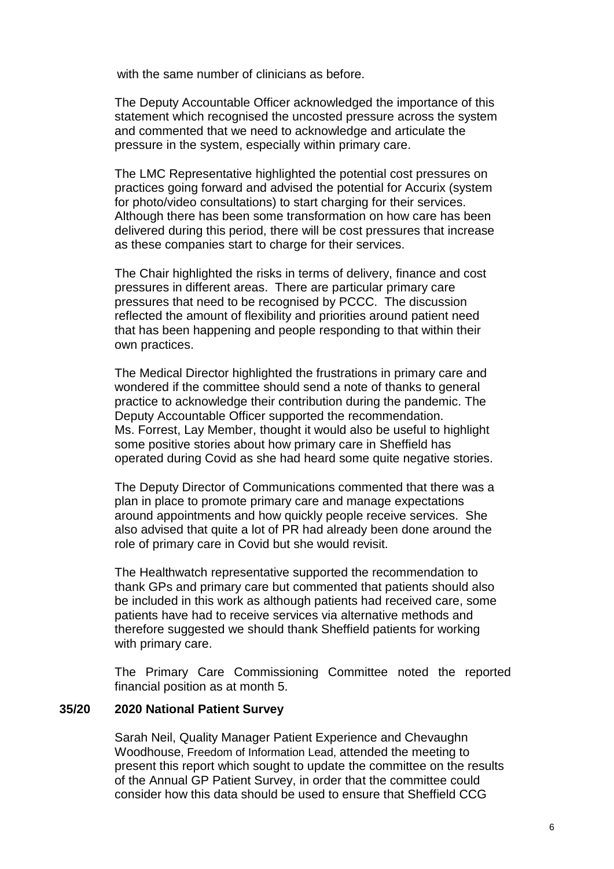with the same number of clinicians as before.

The Deputy Accountable Officer acknowledged the importance of this statement which recognised the uncosted pressure across the system and commented that we need to acknowledge and articulate the pressure in the system, especially within primary care.

The LMC Representative highlighted the potential cost pressures on practices going forward and advised the potential for Accurix (system for photo/video consultations) to start charging for their services. Although there has been some transformation on how care has been delivered during this period, there will be cost pressures that increase as these companies start to charge for their services.

The Chair highlighted the risks in terms of delivery, finance and cost pressures in different areas. There are particular primary care pressures that need to be recognised by PCCC. The discussion reflected the amount of flexibility and priorities around patient need that has been happening and people responding to that within their own practices.

The Medical Director highlighted the frustrations in primary care and wondered if the committee should send a note of thanks to general practice to acknowledge their contribution during the pandemic. The Deputy Accountable Officer supported the recommendation. Ms. Forrest, Lay Member, thought it would also be useful to highlight some positive stories about how primary care in Sheffield has operated during Covid as she had heard some quite negative stories.

The Deputy Director of Communications commented that there was a plan in place to promote primary care and manage expectations around appointments and how quickly people receive services. She also advised that quite a lot of PR had already been done around the role of primary care in Covid but she would revisit.

The Healthwatch representative supported the recommendation to thank GPs and primary care but commented that patients should also be included in this work as although patients had received care, some patients have had to receive services via alternative methods and therefore suggested we should thank Sheffield patients for working with primary care.

The Primary Care Commissioning Committee noted the reported financial position as at month 5.

### **35/20 2020 National Patient Survey**

Sarah Neil, Quality Manager Patient Experience and Chevaughn Woodhouse, Freedom of Information Lead, attended the meeting to present this report which sought to update the committee on the results of the Annual GP Patient Survey, in order that the committee could consider how this data should be used to ensure that Sheffield CCG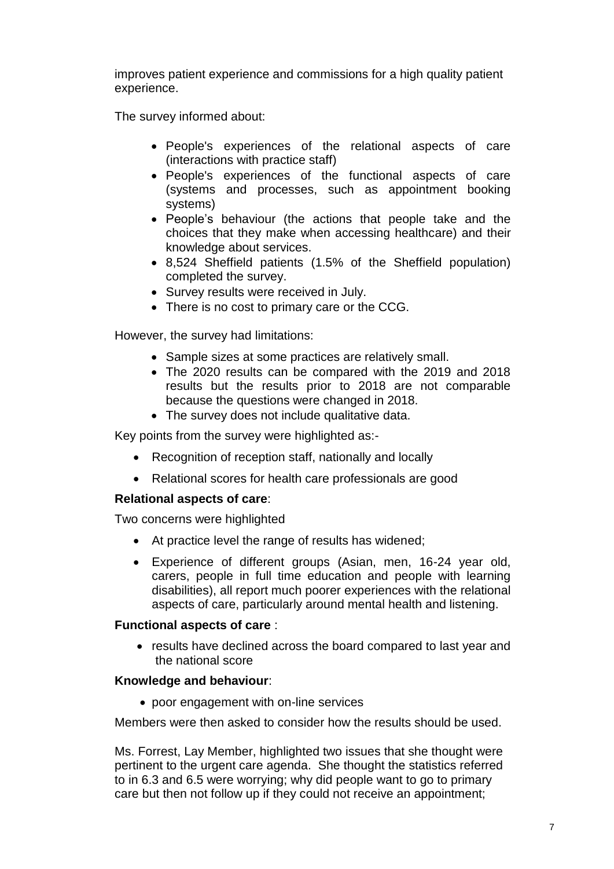improves patient experience and commissions for a high quality patient experience.

The survey informed about:

- People's experiences of the relational aspects of care (interactions with practice staff)
- People's experiences of the functional aspects of care (systems and processes, such as appointment booking systems)
- People's behaviour (the actions that people take and the choices that they make when accessing healthcare) and their knowledge about services.
- 8,524 Sheffield patients (1.5% of the Sheffield population) completed the survey.
- Survey results were received in July.
- There is no cost to primary care or the CCG.

However, the survey had limitations:

- Sample sizes at some practices are relatively small.
- The 2020 results can be compared with the 2019 and 2018 results but the results prior to 2018 are not comparable because the questions were changed in 2018.
- The survey does not include qualitative data.

Key points from the survey were highlighted as:-

- Recognition of reception staff, nationally and locally
- Relational scores for health care professionals are good

# **Relational aspects of care**:

Two concerns were highlighted

- At practice level the range of results has widened;
- Experience of different groups (Asian, men, 16-24 year old, carers, people in full time education and people with learning disabilities), all report much poorer experiences with the relational aspects of care, particularly around mental health and listening.

# **Functional aspects of care** :

• results have declined across the board compared to last year and the national score

# **Knowledge and behaviour**:

• poor engagement with on-line services

Members were then asked to consider how the results should be used.

Ms. Forrest, Lay Member, highlighted two issues that she thought were pertinent to the urgent care agenda. She thought the statistics referred to in 6.3 and 6.5 were worrying; why did people want to go to primary care but then not follow up if they could not receive an appointment;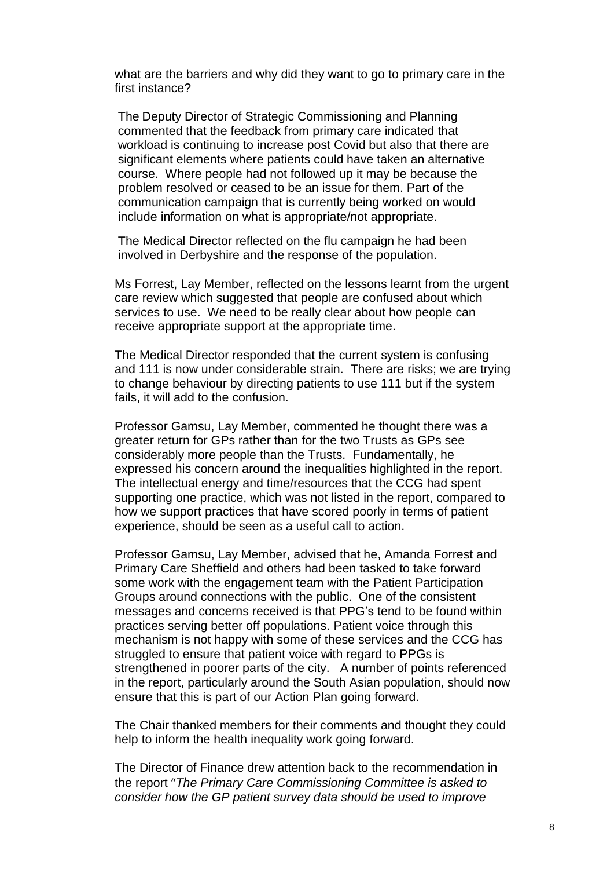what are the barriers and why did they want to go to primary care in the first instance?

The Deputy Director of Strategic Commissioning and Planning commented that the feedback from primary care indicated that workload is continuing to increase post Covid but also that there are significant elements where patients could have taken an alternative course. Where people had not followed up it may be because the problem resolved or ceased to be an issue for them. Part of the communication campaign that is currently being worked on would include information on what is appropriate/not appropriate.

The Medical Director reflected on the flu campaign he had been involved in Derbyshire and the response of the population.

Ms Forrest, Lay Member, reflected on the lessons learnt from the urgent care review which suggested that people are confused about which services to use. We need to be really clear about how people can receive appropriate support at the appropriate time.

The Medical Director responded that the current system is confusing and 111 is now under considerable strain. There are risks; we are trying to change behaviour by directing patients to use 111 but if the system fails, it will add to the confusion.

Professor Gamsu, Lay Member, commented he thought there was a greater return for GPs rather than for the two Trusts as GPs see considerably more people than the Trusts. Fundamentally, he expressed his concern around the inequalities highlighted in the report. The intellectual energy and time/resources that the CCG had spent supporting one practice, which was not listed in the report, compared to how we support practices that have scored poorly in terms of patient experience, should be seen as a useful call to action.

Professor Gamsu, Lay Member, advised that he, Amanda Forrest and Primary Care Sheffield and others had been tasked to take forward some work with the engagement team with the Patient Participation Groups around connections with the public. One of the consistent messages and concerns received is that PPG's tend to be found within practices serving better off populations. Patient voice through this mechanism is not happy with some of these services and the CCG has struggled to ensure that patient voice with regard to PPGs is strengthened in poorer parts of the city. A number of points referenced in the report, particularly around the South Asian population, should now ensure that this is part of our Action Plan going forward.

The Chair thanked members for their comments and thought they could help to inform the health inequality work going forward.

The Director of Finance drew attention back to the recommendation in the report "*The Primary Care Commissioning Committee is asked to consider how the GP patient survey data should be used to improve*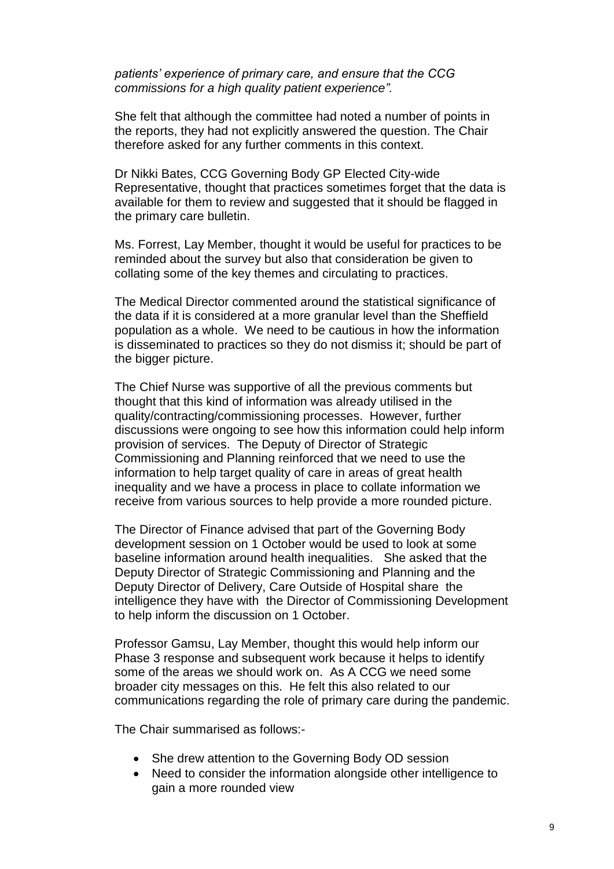*patients' experience of primary care, and ensure that the CCG commissions for a high quality patient experience".*

She felt that although the committee had noted a number of points in the reports, they had not explicitly answered the question. The Chair therefore asked for any further comments in this context.

Dr Nikki Bates, CCG Governing Body GP Elected City-wide Representative, thought that practices sometimes forget that the data is available for them to review and suggested that it should be flagged in the primary care bulletin.

Ms. Forrest, Lay Member, thought it would be useful for practices to be reminded about the survey but also that consideration be given to collating some of the key themes and circulating to practices.

The Medical Director commented around the statistical significance of the data if it is considered at a more granular level than the Sheffield population as a whole. We need to be cautious in how the information is disseminated to practices so they do not dismiss it; should be part of the bigger picture.

The Chief Nurse was supportive of all the previous comments but thought that this kind of information was already utilised in the quality/contracting/commissioning processes. However, further discussions were ongoing to see how this information could help inform provision of services. The Deputy of Director of Strategic Commissioning and Planning reinforced that we need to use the information to help target quality of care in areas of great health inequality and we have a process in place to collate information we receive from various sources to help provide a more rounded picture.

The Director of Finance advised that part of the Governing Body development session on 1 October would be used to look at some baseline information around health inequalities. She asked that the Deputy Director of Strategic Commissioning and Planning and the Deputy Director of Delivery, Care Outside of Hospital share the intelligence they have with the Director of Commissioning Development to help inform the discussion on 1 October.

Professor Gamsu, Lay Member, thought this would help inform our Phase 3 response and subsequent work because it helps to identify some of the areas we should work on. As A CCG we need some broader city messages on this. He felt this also related to our communications regarding the role of primary care during the pandemic.

The Chair summarised as follows:-

- She drew attention to the Governing Body OD session
- Need to consider the information alongside other intelligence to gain a more rounded view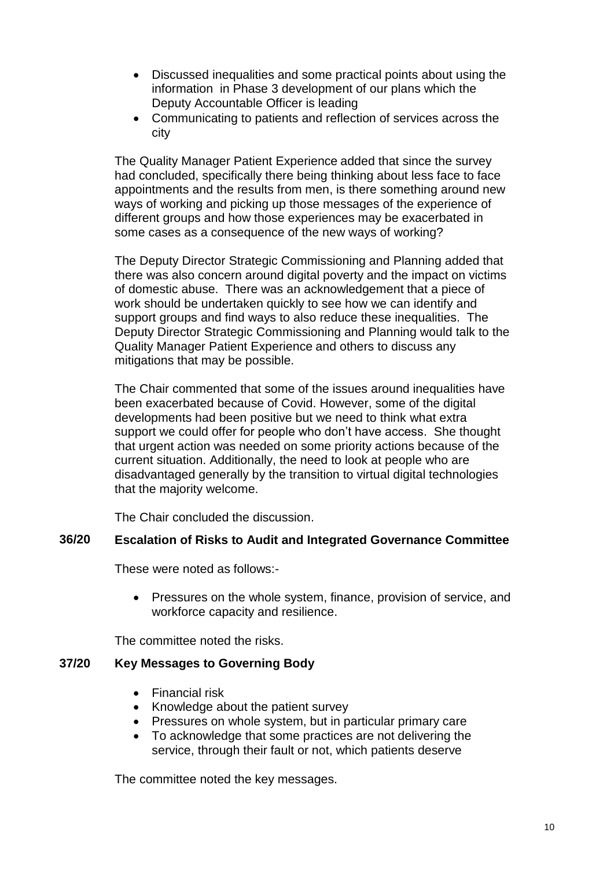- Discussed inequalities and some practical points about using the information in Phase 3 development of our plans which the Deputy Accountable Officer is leading
- Communicating to patients and reflection of services across the city

The Quality Manager Patient Experience added that since the survey had concluded, specifically there being thinking about less face to face appointments and the results from men, is there something around new ways of working and picking up those messages of the experience of different groups and how those experiences may be exacerbated in some cases as a consequence of the new ways of working?

The Deputy Director Strategic Commissioning and Planning added that there was also concern around digital poverty and the impact on victims of domestic abuse. There was an acknowledgement that a piece of work should be undertaken quickly to see how we can identify and support groups and find ways to also reduce these inequalities. The Deputy Director Strategic Commissioning and Planning would talk to the Quality Manager Patient Experience and others to discuss any mitigations that may be possible.

The Chair commented that some of the issues around inequalities have been exacerbated because of Covid. However, some of the digital developments had been positive but we need to think what extra support we could offer for people who don't have access. She thought that urgent action was needed on some priority actions because of the current situation. Additionally, the need to look at people who are disadvantaged generally by the transition to virtual digital technologies that the majority welcome.

The Chair concluded the discussion.

# **36/20 Escalation of Risks to Audit and Integrated Governance Committee**

These were noted as follows:-

• Pressures on the whole system, finance, provision of service, and workforce capacity and resilience.

The committee noted the risks.

# **37/20 Key Messages to Governing Body**

- Financial risk
- Knowledge about the patient survey
- Pressures on whole system, but in particular primary care
- To acknowledge that some practices are not delivering the service, through their fault or not, which patients deserve

The committee noted the key messages.